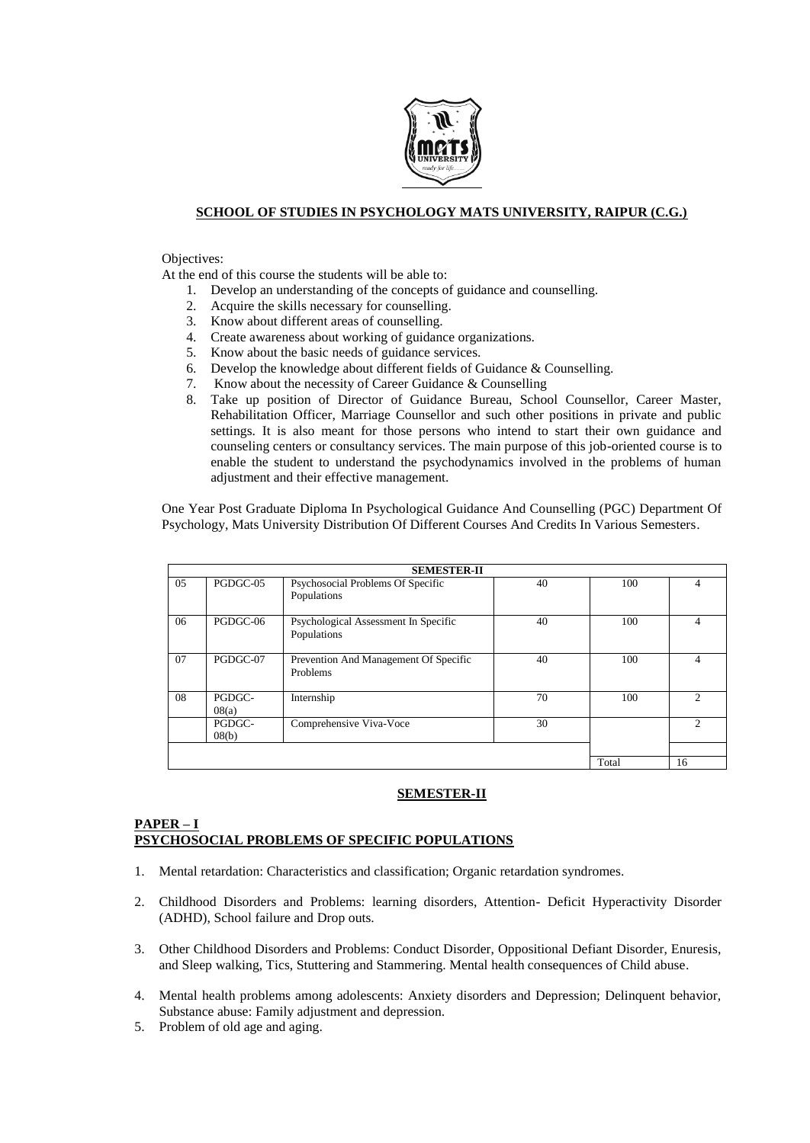

# **SCHOOL OF STUDIES IN PSYCHOLOGY MATS UNIVERSITY, RAIPUR (C.G.)**

#### Objectives:

At the end of this course the students will be able to:

- 1. Develop an understanding of the concepts of guidance and counselling.
- 2. Acquire the skills necessary for counselling.
- 3. Know about different areas of counselling.
- 4. Create awareness about working of guidance organizations.
- 5. Know about the basic needs of guidance services.
- 6. Develop the knowledge about different fields of Guidance & Counselling.
- 7. Know about the necessity of Career Guidance & Counselling
- 8. Take up position of Director of Guidance Bureau, School Counsellor, Career Master, Rehabilitation Officer, Marriage Counsellor and such other positions in private and public settings. It is also meant for those persons who intend to start their own guidance and counseling centers or consultancy services. The main purpose of this job-oriented course is to enable the student to understand the psychodynamics involved in the problems of human adjustment and their effective management.

One Year Post Graduate Diploma In Psychological Guidance And Counselling (PGC) Department Of Psychology, Mats University Distribution Of Different Courses And Credits In Various Semesters.

| <b>SEMESTER-II</b> |                 |                                                     |    |       |                |
|--------------------|-----------------|-----------------------------------------------------|----|-------|----------------|
| 05                 | PGDGC-05        | Psychosocial Problems Of Specific<br>Populations    | 40 | 100   | 4              |
| 06                 | PGDGC-06        | Psychological Assessment In Specific<br>Populations | 40 | 100   | 4              |
| 07                 | PGDGC-07        | Prevention And Management Of Specific<br>Problems   | 40 | 100   | 4              |
| 08                 | PGDGC-<br>08(a) | Internship                                          | 70 | 100   | $\mathcal{D}$  |
|                    | PGDGC-<br>08(b) | Comprehensive Viva-Voce                             | 30 |       | $\mathfrak{D}$ |
|                    |                 |                                                     |    | Total | 16             |

## **SEMESTER-II**

## **PAPER – I PSYCHOSOCIAL PROBLEMS OF SPECIFIC POPULATIONS**

- 1. Mental retardation: Characteristics and classification; Organic retardation syndromes.
- 2. Childhood Disorders and Problems: learning disorders, Attention- Deficit Hyperactivity Disorder (ADHD), School failure and Drop outs.
- 3. Other Childhood Disorders and Problems: Conduct Disorder, Oppositional Defiant Disorder, Enuresis, and Sleep walking, Tics, Stuttering and Stammering. Mental health consequences of Child abuse.
- 4. Mental health problems among adolescents: Anxiety disorders and Depression; Delinquent behavior, Substance abuse: Family adjustment and depression.
- 5. Problem of old age and aging.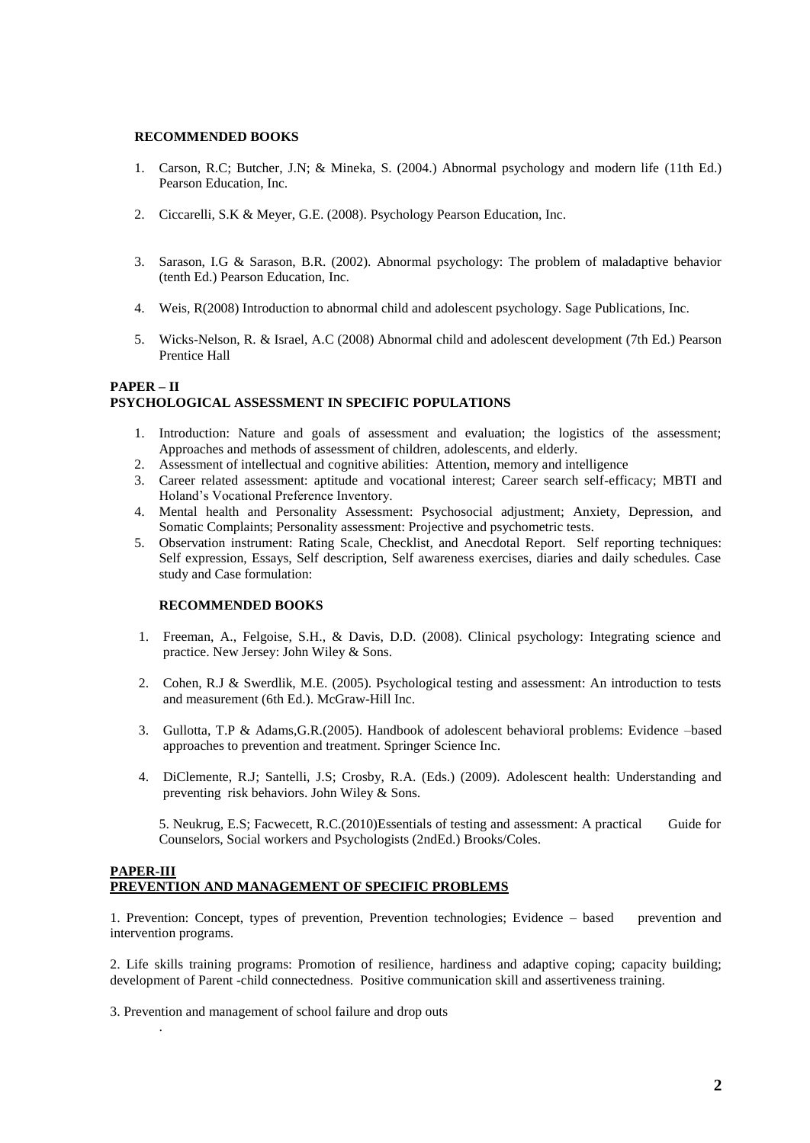#### **RECOMMENDED BOOKS**

- 1. Carson, R.C; Butcher, J.N; & Mineka, S. (2004.) Abnormal psychology and modern life (11th Ed.) Pearson Education, Inc.
- 2. Ciccarelli, S.K & Meyer, G.E. (2008). Psychology Pearson Education, Inc.
- 3. Sarason, I.G & Sarason, B.R. (2002). Abnormal psychology: The problem of maladaptive behavior (tenth Ed.) Pearson Education, Inc.
- 4. Weis, R(2008) Introduction to abnormal child and adolescent psychology. Sage Publications, Inc.
- 5. Wicks-Nelson, R. & Israel, A.C (2008) Abnormal child and adolescent development (7th Ed.) Pearson Prentice Hall

## **PAPER – II PSYCHOLOGICAL ASSESSMENT IN SPECIFIC POPULATIONS**

- 1. Introduction: Nature and goals of assessment and evaluation; the logistics of the assessment; Approaches and methods of assessment of children, adolescents, and elderly.
- 2. Assessment of intellectual and cognitive abilities: Attention, memory and intelligence
- 3. Career related assessment: aptitude and vocational interest; Career search self-efficacy; MBTI and Holand's Vocational Preference Inventory.
- 4. Mental health and Personality Assessment: Psychosocial adjustment; Anxiety, Depression, and Somatic Complaints; Personality assessment: Projective and psychometric tests.
- 5. Observation instrument: Rating Scale, Checklist, and Anecdotal Report. Self reporting techniques: Self expression, Essays, Self description, Self awareness exercises, diaries and daily schedules. Case study and Case formulation:

## **RECOMMENDED BOOKS**

- 1. Freeman, A., Felgoise, S.H., & Davis, D.D. (2008). Clinical psychology: Integrating science and practice. New Jersey: John Wiley & Sons.
- 2. Cohen, R.J & Swerdlik, M.E. (2005). Psychological testing and assessment: An introduction to tests and measurement (6th Ed.). McGraw-Hill Inc.
- 3. Gullotta, T.P & Adams,G.R.(2005). Handbook of adolescent behavioral problems: Evidence –based approaches to prevention and treatment. Springer Science Inc.
- 4. DiClemente, R.J; Santelli, J.S; Crosby, R.A. (Eds.) (2009). Adolescent health: Understanding and preventing risk behaviors. John Wiley & Sons.

5. Neukrug, E.S; Facwecett, R.C.(2010)Essentials of testing and assessment: A practical Guide for Counselors, Social workers and Psychologists (2ndEd.) Brooks/Coles.

#### **PAPER-III PREVENTION AND MANAGEMENT OF SPECIFIC PROBLEMS**

1. Prevention: Concept, types of prevention, Prevention technologies; Evidence – based prevention and intervention programs.

2. Life skills training programs: Promotion of resilience, hardiness and adaptive coping; capacity building; development of Parent -child connectedness. Positive communication skill and assertiveness training.

3. Prevention and management of school failure and drop outs

.